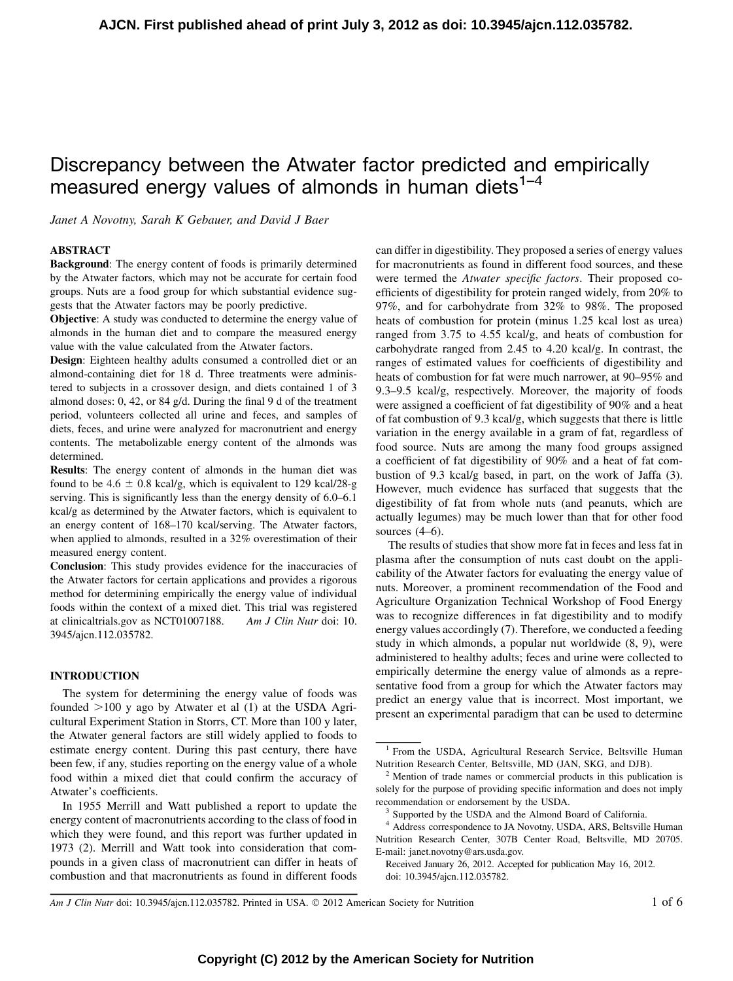# Discrepancy between the Atwater factor predicted and empirically measured energy values of almonds in human diets $1-4$

Janet A Novotny, Sarah K Gebauer, and David J Baer

# ABSTRACT

Background: The energy content of foods is primarily determined by the Atwater factors, which may not be accurate for certain food groups. Nuts are a food group for which substantial evidence suggests that the Atwater factors may be poorly predictive.

Objective: A study was conducted to determine the energy value of almonds in the human diet and to compare the measured energy value with the value calculated from the Atwater factors.

Design: Eighteen healthy adults consumed a controlled diet or an almond-containing diet for 18 d. Three treatments were administered to subjects in a crossover design, and diets contained 1 of 3 almond doses: 0, 42, or 84 g/d. During the final 9 d of the treatment period, volunteers collected all urine and feces, and samples of diets, feces, and urine were analyzed for macronutrient and energy contents. The metabolizable energy content of the almonds was determined.

Results: The energy content of almonds in the human diet was found to be  $4.6 \pm 0.8$  kcal/g, which is equivalent to 129 kcal/28-g serving. This is significantly less than the energy density of 6.0–6.1 kcal/g as determined by the Atwater factors, which is equivalent to an energy content of 168–170 kcal/serving. The Atwater factors, when applied to almonds, resulted in a 32% overestimation of their measured energy content.

Conclusion: This study provides evidence for the inaccuracies of the Atwater factors for certain applications and provides a rigorous method for determining empirically the energy value of individual foods within the context of a mixed diet. This trial was registered at clinicaltrials.gov as NCT01007188. Am J Clin Nutr doi: 10. 3945/ajcn.112.035782.

# INTRODUCTION

The system for determining the energy value of foods was founded  $>100$  y ago by Atwater et al (1) at the USDA Agricultural Experiment Station in Storrs, CT. More than 100 y later, the Atwater general factors are still widely applied to foods to estimate energy content. During this past century, there have been few, if any, studies reporting on the energy value of a whole food within a mixed diet that could confirm the accuracy of Atwater's coefficients.

In 1955 Merrill and Watt published a report to update the energy content of macronutrients according to the class of food in which they were found, and this report was further updated in 1973 (2). Merrill and Watt took into consideration that compounds in a given class of macronutrient can differ in heats of combustion and that macronutrients as found in different foods

can differ in digestibility. They proposed a series of energy values for macronutrients as found in different food sources, and these were termed the Atwater specific factors. Their proposed coefficients of digestibility for protein ranged widely, from 20% to 97%, and for carbohydrate from 32% to 98%. The proposed heats of combustion for protein (minus 1.25 kcal lost as urea) ranged from 3.75 to 4.55 kcal/g, and heats of combustion for carbohydrate ranged from 2.45 to 4.20 kcal/g. In contrast, the ranges of estimated values for coefficients of digestibility and heats of combustion for fat were much narrower, at 90–95% and 9.3–9.5 kcal/g, respectively. Moreover, the majority of foods were assigned a coefficient of fat digestibility of 90% and a heat of fat combustion of 9.3 kcal/g, which suggests that there is little variation in the energy available in a gram of fat, regardless of food source. Nuts are among the many food groups assigned a coefficient of fat digestibility of 90% and a heat of fat combustion of 9.3 kcal/g based, in part, on the work of Jaffa (3). However, much evidence has surfaced that suggests that the digestibility of fat from whole nuts (and peanuts, which are actually legumes) may be much lower than that for other food sources  $(4-6)$ .

The results of studies that show more fat in feces and less fat in plasma after the consumption of nuts cast doubt on the applicability of the Atwater factors for evaluating the energy value of nuts. Moreover, a prominent recommendation of the Food and Agriculture Organization Technical Workshop of Food Energy was to recognize differences in fat digestibility and to modify energy values accordingly (7). Therefore, we conducted a feeding study in which almonds, a popular nut worldwide (8, 9), were administered to healthy adults; feces and urine were collected to empirically determine the energy value of almonds as a representative food from a group for which the Atwater factors may predict an energy value that is incorrect. Most important, we present an experimental paradigm that can be used to determine

Am J Clin Nutr doi: 10.3945/ajcn.112.035782. Printed in USA.  $\odot$  2012 American Society for Nutrition 1 of 6

<sup>&</sup>lt;sup>1</sup> From the USDA, Agricultural Research Service, Beltsville Human Nutrition Research Center, Beltsville, MD (JAN, SKG, and DJB).

<sup>2</sup> Mention of trade names or commercial products in this publication is solely for the purpose of providing specific information and does not imply recommendation or endorsement by the USDA. <sup>3</sup> Supported by the USDA and the Almond Board of California.

<sup>4</sup> Address correspondence to JA Novotny, USDA, ARS, Beltsville Human Nutrition Research Center, 307B Center Road, Beltsville, MD 20705. E-mail: janet.novotny@ars.usda.gov.

Received January 26, 2012. Accepted for publication May 16, 2012. doi: 10.3945/ajcn.112.035782.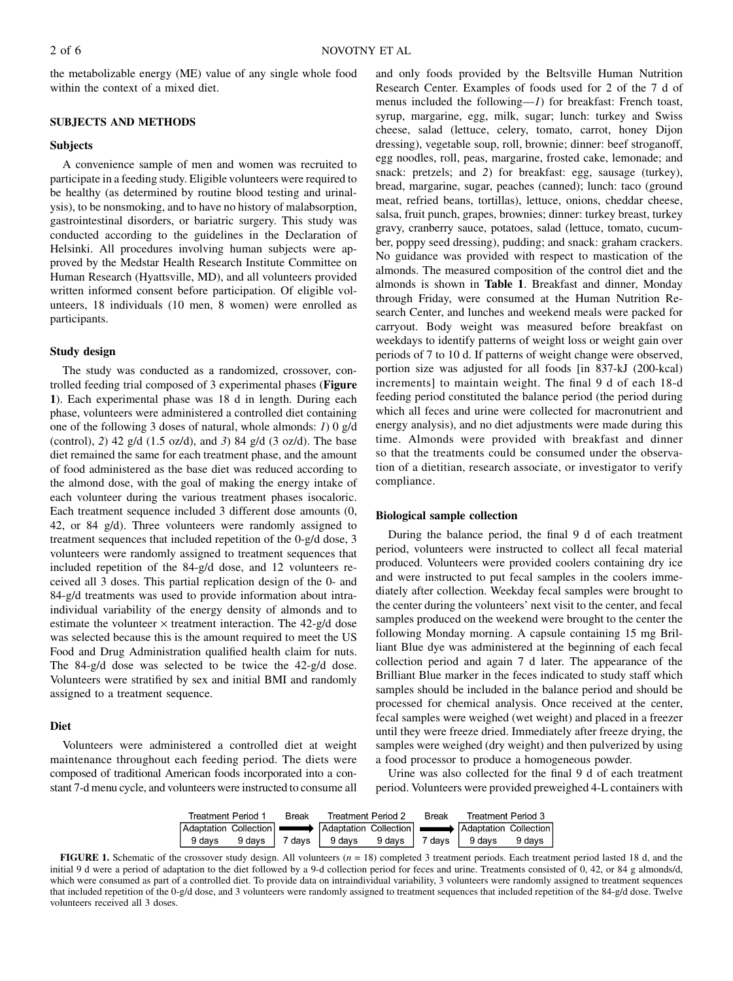the metabolizable energy (ME) value of any single whole food within the context of a mixed diet.

# SUBJECTS AND METHODS

# Subjects

A convenience sample of men and women was recruited to participate in a feeding study. Eligible volunteers were required to be healthy (as determined by routine blood testing and urinalysis), to be nonsmoking, and to have no history of malabsorption, gastrointestinal disorders, or bariatric surgery. This study was conducted according to the guidelines in the Declaration of Helsinki. All procedures involving human subjects were approved by the Medstar Health Research Institute Committee on Human Research (Hyattsville, MD), and all volunteers provided written informed consent before participation. Of eligible volunteers, 18 individuals (10 men, 8 women) were enrolled as participants.

# Study design

The study was conducted as a randomized, crossover, controlled feeding trial composed of 3 experimental phases (Figure 1). Each experimental phase was 18 d in length. During each phase, volunteers were administered a controlled diet containing one of the following 3 doses of natural, whole almonds: 1) 0 g/d (control), 2) 42 g/d (1.5 oz/d), and 3) 84 g/d (3 oz/d). The base diet remained the same for each treatment phase, and the amount of food administered as the base diet was reduced according to the almond dose, with the goal of making the energy intake of each volunteer during the various treatment phases isocaloric. Each treatment sequence included 3 different dose amounts (0, 42, or 84 g/d). Three volunteers were randomly assigned to treatment sequences that included repetition of the 0-g/d dose, 3 volunteers were randomly assigned to treatment sequences that included repetition of the 84-g/d dose, and 12 volunteers received all 3 doses. This partial replication design of the 0- and 84-g/d treatments was used to provide information about intraindividual variability of the energy density of almonds and to estimate the volunteer  $\times$  treatment interaction. The 42-g/d dose was selected because this is the amount required to meet the US Food and Drug Administration qualified health claim for nuts. The 84-g/d dose was selected to be twice the 42-g/d dose. Volunteers were stratified by sex and initial BMI and randomly assigned to a treatment sequence.

### Diet

Volunteers were administered a controlled diet at weight maintenance throughout each feeding period. The diets were composed of traditional American foods incorporated into a constant 7-d menu cycle, and volunteers were instructed to consume all

and only foods provided by the Beltsville Human Nutrition Research Center. Examples of foods used for 2 of the 7 d of menus included the following—1) for breakfast: French toast, syrup, margarine, egg, milk, sugar; lunch: turkey and Swiss cheese, salad (lettuce, celery, tomato, carrot, honey Dijon dressing), vegetable soup, roll, brownie; dinner: beef stroganoff, egg noodles, roll, peas, margarine, frosted cake, lemonade; and snack: pretzels; and 2) for breakfast: egg, sausage (turkey), bread, margarine, sugar, peaches (canned); lunch: taco (ground meat, refried beans, tortillas), lettuce, onions, cheddar cheese, salsa, fruit punch, grapes, brownies; dinner: turkey breast, turkey gravy, cranberry sauce, potatoes, salad (lettuce, tomato, cucumber, poppy seed dressing), pudding; and snack: graham crackers. No guidance was provided with respect to mastication of the almonds. The measured composition of the control diet and the almonds is shown in Table 1. Breakfast and dinner, Monday through Friday, were consumed at the Human Nutrition Research Center, and lunches and weekend meals were packed for carryout. Body weight was measured before breakfast on weekdays to identify patterns of weight loss or weight gain over periods of 7 to 10 d. If patterns of weight change were observed, portion size was adjusted for all foods [in 837-kJ (200-kcal) increments] to maintain weight. The final 9 d of each 18-d feeding period constituted the balance period (the period during which all feces and urine were collected for macronutrient and energy analysis), and no diet adjustments were made during this time. Almonds were provided with breakfast and dinner so that the treatments could be consumed under the observation of a dietitian, research associate, or investigator to verify compliance.

#### Biological sample collection

During the balance period, the final 9 d of each treatment period, volunteers were instructed to collect all fecal material produced. Volunteers were provided coolers containing dry ice and were instructed to put fecal samples in the coolers immediately after collection. Weekday fecal samples were brought to the center during the volunteers' next visit to the center, and fecal samples produced on the weekend were brought to the center the following Monday morning. A capsule containing 15 mg Brilliant Blue dye was administered at the beginning of each fecal collection period and again 7 d later. The appearance of the Brilliant Blue marker in the feces indicated to study staff which samples should be included in the balance period and should be processed for chemical analysis. Once received at the center, fecal samples were weighed (wet weight) and placed in a freezer until they were freeze dried. Immediately after freeze drying, the samples were weighed (dry weight) and then pulverized by using a food processor to produce a homogeneous powder.

Urine was also collected for the final 9 d of each treatment period. Volunteers were provided preweighed 4-L containers with

| Treatment Period 1                                                                                           |  | <b>Break</b> | Treatment Period 2                                              |  | Break | Treatment Period 3 |  |
|--------------------------------------------------------------------------------------------------------------|--|--------------|-----------------------------------------------------------------|--|-------|--------------------|--|
| Adaptation Collection <b>Adaptation</b> Collection <b>Adaptation</b> Collection <b>Adaptation</b> Collection |  |              |                                                                 |  |       |                    |  |
|                                                                                                              |  |              | 9 days 9 days   7 days   9 days 9 days   7 days   9 days 9 days |  |       |                    |  |

**FIGURE 1.** Schematic of the crossover study design. All volunteers  $(n = 18)$  completed 3 treatment periods. Each treatment period lasted 18 d, and the initial 9 d were a period of adaptation to the diet followed by a 9-d collection period for feces and urine. Treatments consisted of 0, 42, or 84 g almonds/d, which were consumed as part of a controlled diet. To provide data on intraindividual variability, 3 volunteers were randomly assigned to treatment sequences that included repetition of the 0-g/d dose, and 3 volunteers were randomly assigned to treatment sequences that included repetition of the 84-g/d dose. Twelve volunteers received all 3 doses.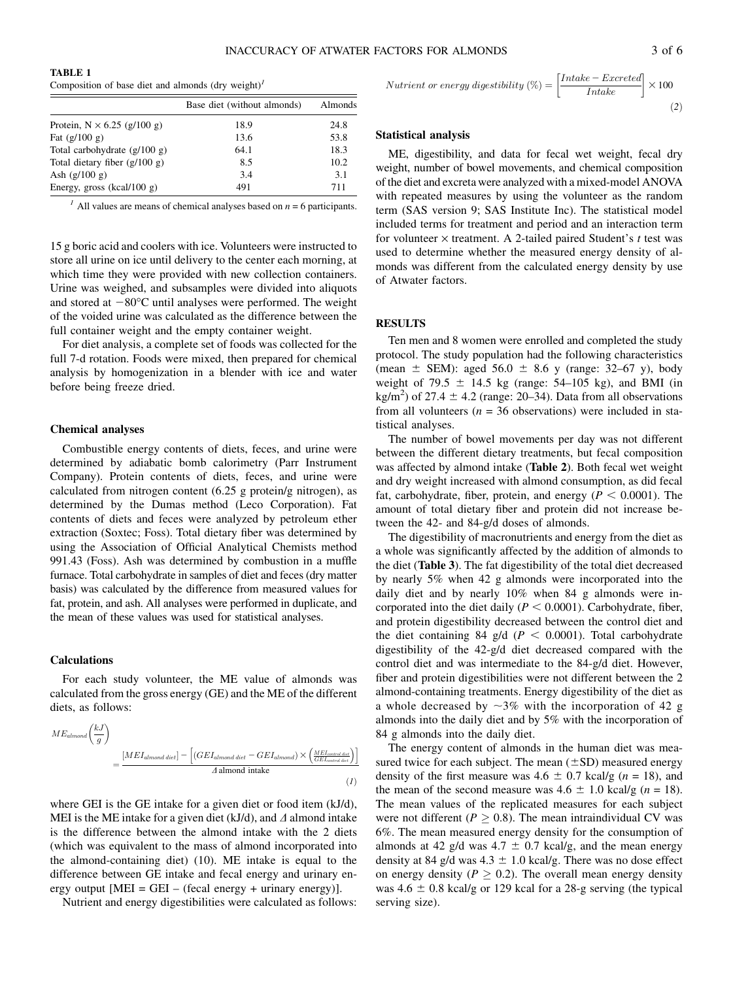TABLE 1

| Composition of base diet and almonds $(dry weight)^T$ |                             |                 |  |  |  |  |
|-------------------------------------------------------|-----------------------------|-----------------|--|--|--|--|
|                                                       | Base diet (without almonds) | Almonds<br>24.8 |  |  |  |  |
| Protein, $N \times 6.25$ (g/100 g)                    | 18.9                        |                 |  |  |  |  |
| Fat $(g/100 g)$                                       | 13.6                        | 53.8            |  |  |  |  |
| Total carbohydrate $(g/100 g)$                        | 64.1                        | 18.3            |  |  |  |  |
| Total dietary fiber $(g/100 g)$                       | 8.5                         | 10.2            |  |  |  |  |
| Ash $(g/100 g)$                                       | 3.4                         | 3.1             |  |  |  |  |
| Energy, gross (kcal/100 g)                            | 491                         | 711             |  |  |  |  |

<sup>1</sup> All values are means of chemical analyses based on  $n = 6$  participants.

15 g boric acid and coolers with ice. Volunteers were instructed to store all urine on ice until delivery to the center each morning, at which time they were provided with new collection containers. Urine was weighed, and subsamples were divided into aliquots and stored at  $-80^{\circ}$ C until analyses were performed. The weight of the voided urine was calculated as the difference between the full container weight and the empty container weight.

For diet analysis, a complete set of foods was collected for the full 7-d rotation. Foods were mixed, then prepared for chemical analysis by homogenization in a blender with ice and water before being freeze dried.

#### Chemical analyses

Combustible energy contents of diets, feces, and urine were determined by adiabatic bomb calorimetry (Parr Instrument Company). Protein contents of diets, feces, and urine were calculated from nitrogen content (6.25 g protein/g nitrogen), as determined by the Dumas method (Leco Corporation). Fat contents of diets and feces were analyzed by petroleum ether extraction (Soxtec; Foss). Total dietary fiber was determined by using the Association of Official Analytical Chemists method 991.43 (Foss). Ash was determined by combustion in a muffle furnace. Total carbohydrate in samples of diet and feces (dry matter basis) was calculated by the difference from measured values for fat, protein, and ash. All analyses were performed in duplicate, and the mean of these values was used for statistical analyses.

# Calculations

For each study volunteer, the ME value of almonds was calculated from the gross energy (GE) and the ME of the different diets, as follows:

$$
ME_{\text{almost}}\left(\frac{kJ}{g}\right)
$$
  
= 
$$
\frac{[MEI_{\text{almost diet}}] - [(GEI_{\text{almost diet}} - GEI_{\text{almost}})] \times \left(\frac{MEI_{\text{correct disk}}}{GEI_{\text{correct disk}}}\right)}{A \text{ almost intake}}
$$
 (1)

where GEI is the GE intake for a given diet or food item (kJ/d), MEI is the ME intake for a given diet (kJ/d), and  $\Delta$  almond intake is the difference between the almond intake with the 2 diets (which was equivalent to the mass of almond incorporated into the almond-containing diet) (10). ME intake is equal to the difference between GE intake and fecal energy and urinary energy output  $[MEI = GEI - (recall energy + urinary energy)].$ 

Nutrient and energy digestibilities were calculated as follows:

$$
Nutrient\ or\ energy\ digestibility\ (\%) = \left[\frac{Intake - Excreted}{Intake}\right] \times 100
$$
\n(2)

# Statistical analysis

ME, digestibility, and data for fecal wet weight, fecal dry weight, number of bowel movements, and chemical composition of the diet and excreta were analyzed with a mixed-model ANOVA with repeated measures by using the volunteer as the random term (SAS version 9; SAS Institute Inc). The statistical model included terms for treatment and period and an interaction term for volunteer  $\times$  treatment. A 2-tailed paired Student's t test was used to determine whether the measured energy density of almonds was different from the calculated energy density by use of Atwater factors.

#### RESULTS

Ten men and 8 women were enrolled and completed the study protocol. The study population had the following characteristics (mean  $\pm$  SEM): aged 56.0  $\pm$  8.6 y (range: 32–67 y), body weight of 79.5  $\pm$  14.5 kg (range: 54–105 kg), and BMI (in kg/m<sup>2</sup>) of 27.4  $\pm$  4.2 (range: 20–34). Data from all observations from all volunteers ( $n = 36$  observations) were included in statistical analyses.

The number of bowel movements per day was not different between the different dietary treatments, but fecal composition was affected by almond intake (Table 2). Both fecal wet weight and dry weight increased with almond consumption, as did fecal fat, carbohydrate, fiber, protein, and energy ( $P < 0.0001$ ). The amount of total dietary fiber and protein did not increase between the 42- and 84-g/d doses of almonds.

The digestibility of macronutrients and energy from the diet as a whole was significantly affected by the addition of almonds to the diet (Table 3). The fat digestibility of the total diet decreased by nearly 5% when 42 g almonds were incorporated into the daily diet and by nearly 10% when 84 g almonds were incorporated into the diet daily ( $P < 0.0001$ ). Carbohydrate, fiber, and protein digestibility decreased between the control diet and the diet containing 84 g/d ( $P < 0.0001$ ). Total carbohydrate digestibility of the 42-g/d diet decreased compared with the control diet and was intermediate to the 84-g/d diet. However, fiber and protein digestibilities were not different between the 2 almond-containing treatments. Energy digestibility of the diet as a whole decreased by  $\sim$ 3% with the incorporation of 42 g almonds into the daily diet and by 5% with the incorporation of 84 g almonds into the daily diet.

The energy content of almonds in the human diet was measured twice for each subject. The mean  $(\pm SD)$  measured energy density of the first measure was  $4.6 \pm 0.7$  kcal/g ( $n = 18$ ), and the mean of the second measure was  $4.6 \pm 1.0$  kcal/g (n = 18). The mean values of the replicated measures for each subject were not different ( $P \ge 0.8$ ). The mean intraindividual CV was 6%. The mean measured energy density for the consumption of almonds at 42 g/d was  $4.7 \pm 0.7$  kcal/g, and the mean energy density at 84 g/d was  $4.3 \pm 1.0$  kcal/g. There was no dose effect on energy density ( $P \geq 0.2$ ). The overall mean energy density was  $4.6 \pm 0.8$  kcal/g or 129 kcal for a 28-g serving (the typical serving size).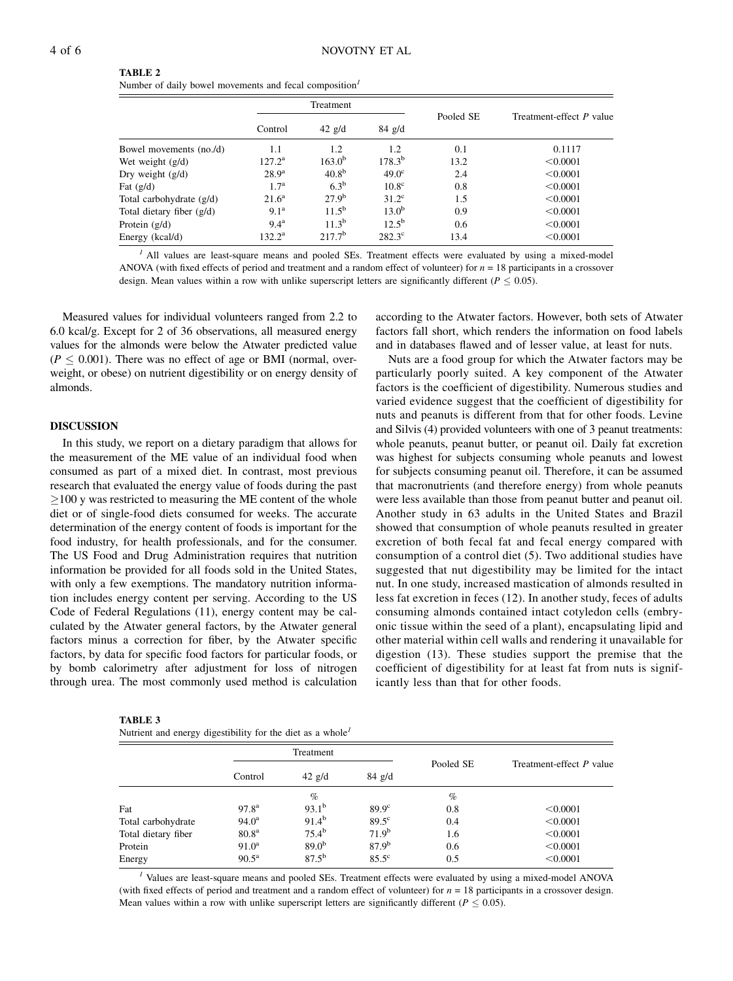| <b>TABLE 2</b>                                                     |
|--------------------------------------------------------------------|
| Number of daily bowel movements and fecal composition <sup>1</sup> |

|                             | Treatment          |                   |                 |           |                          |  |
|-----------------------------|--------------------|-------------------|-----------------|-----------|--------------------------|--|
|                             | Control            | $42 \text{ g/d}$  | $84$ g/d        | Pooled SE | Treatment-effect P value |  |
| Bowel movements (no./d)     | 1.1                | 1.2               | 1.2             | 0.1       | 0.1117                   |  |
| Wet weight $(g/d)$          | $127.2^{\rm a}$    | $163.0^{b}$       | $178.3^{b}$     | 13.2      | < 0.0001                 |  |
| Dry weight $(g/d)$          | $28.9^{\rm a}$     | 40.8 <sup>b</sup> | $49.0^\circ$    | 2.4       | < 0.0001                 |  |
| Fat $(g/d)$                 | $1.7^{\rm a}$      | $6.3^b$           | $10.8^\circ$    | 0.8       | < 0.0001                 |  |
| Total carbohydrate (g/d)    | $21.6^{\rm a}$     | $27.9^{\rm b}$    | $31.2^{\circ}$  | 1.5       | < 0.0001                 |  |
| Total dietary fiber $(g/d)$ | 9.1 <sup>a</sup>   | $11.5^{b}$        | $13.0^{b}$      | 0.9       | < 0.0001                 |  |
| Protein $(g/d)$             | $9.4^{\mathrm{a}}$ | $11.3^{b}$        | $12.5^{b}$      | 0.6       | < 0.0001                 |  |
| Energy (kcal/d)             | $132.2^{\rm a}$    | $217.7^{b}$       | $282.3^{\circ}$ | 13.4      | < 0.0001                 |  |

<sup>1</sup> All values are least-square means and pooled SEs. Treatment effects were evaluated by using a mixed-model ANOVA (with fixed effects of period and treatment and a random effect of volunteer) for  $n = 18$  participants in a crossover design. Mean values within a row with unlike superscript letters are significantly different ( $P \le 0.05$ ).

Measured values for individual volunteers ranged from 2.2 to 6.0 kcal/g. Except for 2 of 36 observations, all measured energy values for the almonds were below the Atwater predicted value  $(P \leq 0.001)$ . There was no effect of age or BMI (normal, overweight, or obese) on nutrient digestibility or on energy density of almonds.

#### DISCUSSION

In this study, we report on a dietary paradigm that allows for the measurement of the ME value of an individual food when consumed as part of a mixed diet. In contrast, most previous research that evaluated the energy value of foods during the past  $100$  y was restricted to measuring the ME content of the whole diet or of single-food diets consumed for weeks. The accurate determination of the energy content of foods is important for the food industry, for health professionals, and for the consumer. The US Food and Drug Administration requires that nutrition information be provided for all foods sold in the United States, with only a few exemptions. The mandatory nutrition information includes energy content per serving. According to the US Code of Federal Regulations (11), energy content may be calculated by the Atwater general factors, by the Atwater general factors minus a correction for fiber, by the Atwater specific factors, by data for specific food factors for particular foods, or by bomb calorimetry after adjustment for loss of nitrogen through urea. The most commonly used method is calculation

| <b>TABLE 3</b> |
|----------------|
|----------------|

according to the Atwater factors. However, both sets of Atwater factors fall short, which renders the information on food labels and in databases flawed and of lesser value, at least for nuts.

Nuts are a food group for which the Atwater factors may be particularly poorly suited. A key component of the Atwater factors is the coefficient of digestibility. Numerous studies and varied evidence suggest that the coefficient of digestibility for nuts and peanuts is different from that for other foods. Levine and Silvis (4) provided volunteers with one of 3 peanut treatments: whole peanuts, peanut butter, or peanut oil. Daily fat excretion was highest for subjects consuming whole peanuts and lowest for subjects consuming peanut oil. Therefore, it can be assumed that macronutrients (and therefore energy) from whole peanuts were less available than those from peanut butter and peanut oil. Another study in 63 adults in the United States and Brazil showed that consumption of whole peanuts resulted in greater excretion of both fecal fat and fecal energy compared with consumption of a control diet (5). Two additional studies have suggested that nut digestibility may be limited for the intact nut. In one study, increased mastication of almonds resulted in less fat excretion in feces (12). In another study, feces of adults consuming almonds contained intact cotyledon cells (embryonic tissue within the seed of a plant), encapsulating lipid and other material within cell walls and rendering it unavailable for digestion (13). These studies support the premise that the coefficient of digestibility for at least fat from nuts is significantly less than that for other foods.

|                     | Treatment         |                  |                   |           |                          |  |
|---------------------|-------------------|------------------|-------------------|-----------|--------------------------|--|
|                     | Control           | $42 \text{ g/d}$ | $84$ g/d          | Pooled SE | Treatment-effect P value |  |
|                     |                   | $\%$             |                   | $\%$      |                          |  |
| Fat                 | $97.8^{\rm a}$    | $93.1^{b}$       | $89.9^\circ$      | 0.8       | < 0.0001                 |  |
| Total carbohydrate  | $94.0^{\rm a}$    | $91.4^{b}$       | $89.5^\circ$      | 0.4       | < 0.0001                 |  |
| Total dietary fiber | 80.8 <sup>a</sup> | $75.4^{\rm b}$   | $71.9^{b}$        | 1.6       | < 0.0001                 |  |
| Protein             | $91.0^{\rm a}$    | $89.0^{b}$       | 87.9 <sup>b</sup> | 0.6       | < 0.0001                 |  |
| Energy              | $90.5^{\rm a}$    | $87.5^{b}$       | $85.5^{\circ}$    | 0.5       | < 0.0001                 |  |

<sup>1</sup> Values are least-square means and pooled SEs. Treatment effects were evaluated by using a mixed-model ANOVA (with fixed effects of period and treatment and a random effect of volunteer) for  $n = 18$  participants in a crossover design. Mean values within a row with unlike superscript letters are significantly different ( $P < 0.05$ ).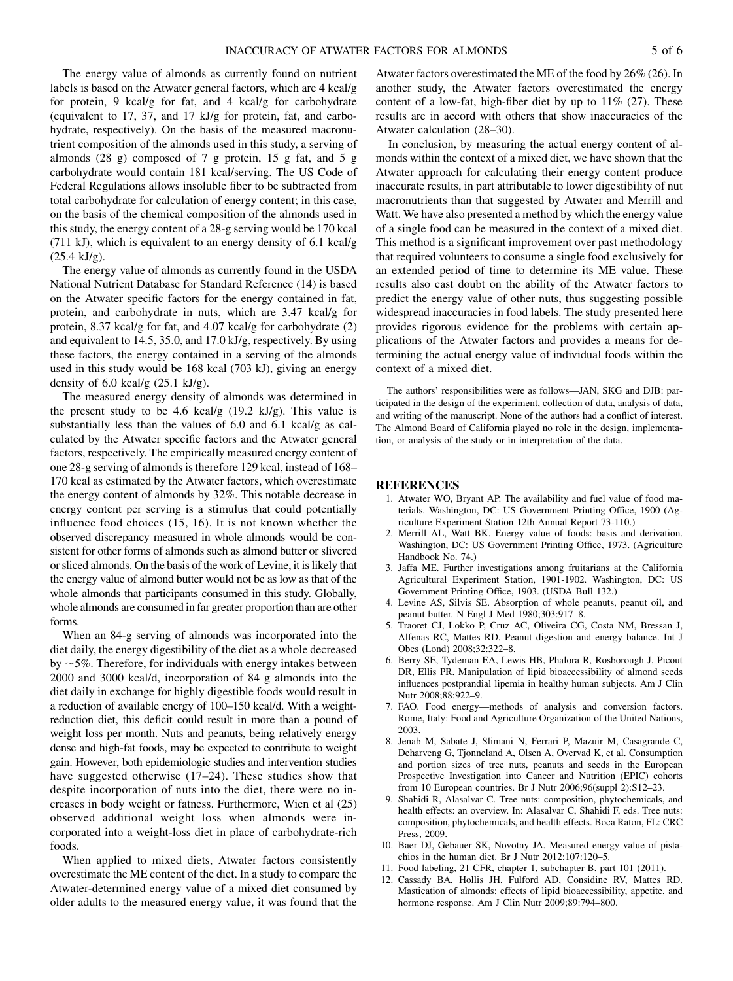The energy value of almonds as currently found on nutrient labels is based on the Atwater general factors, which are 4 kcal/g for protein, 9 kcal/g for fat, and 4 kcal/g for carbohydrate (equivalent to 17, 37, and 17 kJ/g for protein, fat, and carbohydrate, respectively). On the basis of the measured macronutrient composition of the almonds used in this study, a serving of almonds (28 g) composed of 7 g protein, 15 g fat, and 5 g carbohydrate would contain 181 kcal/serving. The US Code of Federal Regulations allows insoluble fiber to be subtracted from total carbohydrate for calculation of energy content; in this case, on the basis of the chemical composition of the almonds used in this study, the energy content of a 28-g serving would be 170 kcal (711 kJ), which is equivalent to an energy density of 6.1 kcal/g  $(25.4 \text{ kJ/g}).$ 

The energy value of almonds as currently found in the USDA National Nutrient Database for Standard Reference (14) is based on the Atwater specific factors for the energy contained in fat, protein, and carbohydrate in nuts, which are 3.47 kcal/g for protein, 8.37 kcal/g for fat, and 4.07 kcal/g for carbohydrate (2) and equivalent to 14.5, 35.0, and 17.0 kJ/g, respectively. By using these factors, the energy contained in a serving of the almonds used in this study would be 168 kcal (703 kJ), giving an energy density of 6.0 kcal/g (25.1 kJ/g).

The measured energy density of almonds was determined in the present study to be 4.6 kcal/g (19.2 kJ/g). This value is substantially less than the values of 6.0 and 6.1 kcal/g as calculated by the Atwater specific factors and the Atwater general factors, respectively. The empirically measured energy content of one 28-g serving of almonds is therefore 129 kcal, instead of 168– 170 kcal as estimated by the Atwater factors, which overestimate the energy content of almonds by 32%. This notable decrease in energy content per serving is a stimulus that could potentially influence food choices (15, 16). It is not known whether the observed discrepancy measured in whole almonds would be consistent for other forms of almonds such as almond butter or slivered or sliced almonds. On the basis of the work of Levine, it is likely that the energy value of almond butter would not be as low as that of the whole almonds that participants consumed in this study. Globally, whole almonds are consumed in far greater proportion than are other forms.

When an 84-g serving of almonds was incorporated into the diet daily, the energy digestibility of the diet as a whole decreased by  $\sim$  5%. Therefore, for individuals with energy intakes between 2000 and 3000 kcal/d, incorporation of 84 g almonds into the diet daily in exchange for highly digestible foods would result in a reduction of available energy of 100–150 kcal/d. With a weightreduction diet, this deficit could result in more than a pound of weight loss per month. Nuts and peanuts, being relatively energy dense and high-fat foods, may be expected to contribute to weight gain. However, both epidemiologic studies and intervention studies have suggested otherwise (17–24). These studies show that despite incorporation of nuts into the diet, there were no increases in body weight or fatness. Furthermore, Wien et al (25) observed additional weight loss when almonds were incorporated into a weight-loss diet in place of carbohydrate-rich foods.

When applied to mixed diets, Atwater factors consistently overestimate the ME content of the diet. In a study to compare the Atwater-determined energy value of a mixed diet consumed by older adults to the measured energy value, it was found that the

Atwater factors overestimated the ME of the food by 26% (26). In another study, the Atwater factors overestimated the energy content of a low-fat, high-fiber diet by up to  $11\%$  (27). These results are in accord with others that show inaccuracies of the Atwater calculation (28–30).

In conclusion, by measuring the actual energy content of almonds within the context of a mixed diet, we have shown that the Atwater approach for calculating their energy content produce inaccurate results, in part attributable to lower digestibility of nut macronutrients than that suggested by Atwater and Merrill and Watt. We have also presented a method by which the energy value of a single food can be measured in the context of a mixed diet. This method is a significant improvement over past methodology that required volunteers to consume a single food exclusively for an extended period of time to determine its ME value. These results also cast doubt on the ability of the Atwater factors to predict the energy value of other nuts, thus suggesting possible widespread inaccuracies in food labels. The study presented here provides rigorous evidence for the problems with certain applications of the Atwater factors and provides a means for determining the actual energy value of individual foods within the context of a mixed diet.

The authors' responsibilities were as follows—JAN, SKG and DJB: participated in the design of the experiment, collection of data, analysis of data, and writing of the manuscript. None of the authors had a conflict of interest. The Almond Board of California played no role in the design, implementation, or analysis of the study or in interpretation of the data.

#### REFERENCES

- 1. Atwater WO, Bryant AP. The availability and fuel value of food materials. Washington, DC: US Government Printing Office, 1900 (Agriculture Experiment Station 12th Annual Report 73-110.)
- 2. Merrill AL, Watt BK. Energy value of foods: basis and derivation. Washington, DC: US Government Printing Office, 1973. (Agriculture Handbook No. 74.)
- 3. Jaffa ME. Further investigations among fruitarians at the California Agricultural Experiment Station, 1901-1902. Washington, DC: US Government Printing Office, 1903. (USDA Bull 132.)
- 4. Levine AS, Silvis SE. Absorption of whole peanuts, peanut oil, and peanut butter. N Engl J Med 1980;303:917–8.
- 5. Traoret CJ, Lokko P, Cruz AC, Oliveira CG, Costa NM, Bressan J, Alfenas RC, Mattes RD. Peanut digestion and energy balance. Int J Obes (Lond) 2008;32:322–8.
- 6. Berry SE, Tydeman EA, Lewis HB, Phalora R, Rosborough J, Picout DR, Ellis PR. Manipulation of lipid bioaccessibility of almond seeds influences postprandial lipemia in healthy human subjects. Am J Clin Nutr 2008;88:922–9.
- 7. FAO. Food energy—methods of analysis and conversion factors. Rome, Italy: Food and Agriculture Organization of the United Nations, 2003.
- 8. Jenab M, Sabate J, Slimani N, Ferrari P, Mazuir M, Casagrande C, Deharveng G, Tjonneland A, Olsen A, Overvad K, et al. Consumption and portion sizes of tree nuts, peanuts and seeds in the European Prospective Investigation into Cancer and Nutrition (EPIC) cohorts from 10 European countries. Br J Nutr 2006;96(suppl 2):S12–23.
- 9. Shahidi R, Alasalvar C. Tree nuts: composition, phytochemicals, and health effects: an overview. In: Alasalvar C, Shahidi F, eds. Tree nuts: composition, phytochemicals, and health effects. Boca Raton, FL: CRC Press, 2009.
- 10. Baer DJ, Gebauer SK, Novotny JA. Measured energy value of pistachios in the human diet. Br J Nutr 2012;107:120–5.
- 11. Food labeling, 21 CFR, chapter 1, subchapter B, part 101 (2011).
- 12. Cassady BA, Hollis JH, Fulford AD, Considine RV, Mattes RD. Mastication of almonds: effects of lipid bioaccessibility, appetite, and hormone response. Am J Clin Nutr 2009;89:794–800.